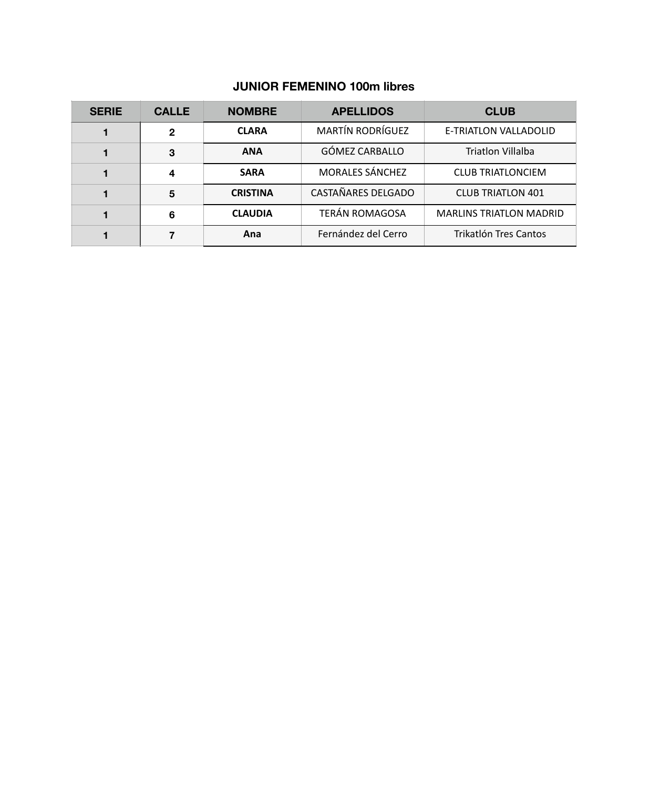## **JUNIOR FEMENINO 100m libres**

| <b>SERIE</b> | <b>CALLE</b> | <b>NOMBRE</b>   | <b>APELLIDOS</b>        | <b>CLUB</b>                    |
|--------------|--------------|-----------------|-------------------------|--------------------------------|
|              | $\mathbf{2}$ | <b>CLARA</b>    | <b>MARTÍN RODRÍGUEZ</b> | E-TRIATLON VALLADOLID          |
|              | 3            | <b>ANA</b>      | GÓMEZ CARBALLO          | <b>Triatlon Villalba</b>       |
|              | 4            | <b>SARA</b>     | MORALES SÁNCHEZ         | <b>CLUB TRIATLONCIEM</b>       |
|              | 5            | <b>CRISTINA</b> | CASTAÑARES DELGADO      | <b>CLUB TRIATLON 401</b>       |
|              | 6            | <b>CLAUDIA</b>  | TERÁN ROMAGOSA          | <b>MARLINS TRIATLON MADRID</b> |
|              |              | Ana             | Fernández del Cerro     | Trikatlón Tres Cantos          |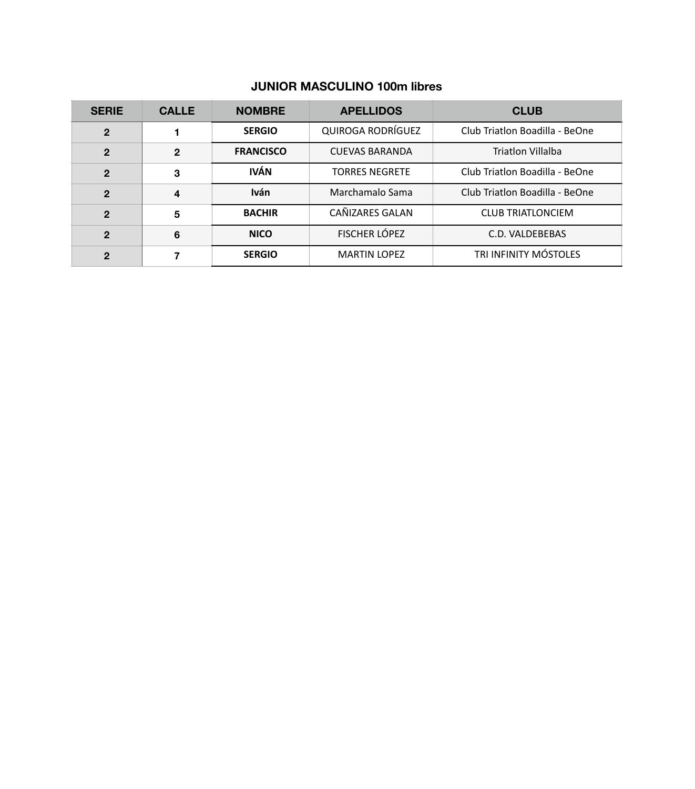## **JUNIOR MASCULINO 100m libres**

| <b>SERIE</b>   | <b>CALLE</b> | <b>NOMBRE</b>    | <b>APELLIDOS</b>      | <b>CLUB</b>                    |
|----------------|--------------|------------------|-----------------------|--------------------------------|
| $\overline{2}$ |              | <b>SERGIO</b>    | QUIROGA RODRÍGUEZ     | Club Triatlon Boadilla - BeOne |
| $\overline{2}$ | $\mathbf{2}$ | <b>FRANCISCO</b> | <b>CUEVAS BARANDA</b> | <b>Triatlon Villalba</b>       |
| $\mathbf{2}$   | 3            | <b>IVÁN</b>      | <b>TORRES NEGRETE</b> | Club Triatlon Boadilla - BeOne |
| $\mathbf{2}$   | 4            | <b>Iván</b>      | Marchamalo Sama       | Club Triatlon Boadilla - BeOne |
| $\mathbf{2}$   | 5            | <b>BACHIR</b>    | CAÑIZARES GALAN       | <b>CLUB TRIATLONCIEM</b>       |
| $\mathbf{2}$   | 6            | <b>NICO</b>      | FISCHER LÓPEZ         | C.D. VALDEBEBAS                |
| $\mathbf{2}$   |              | <b>SERGIO</b>    | <b>MARTIN LOPEZ</b>   | TRI INFINITY MÓSTOLES          |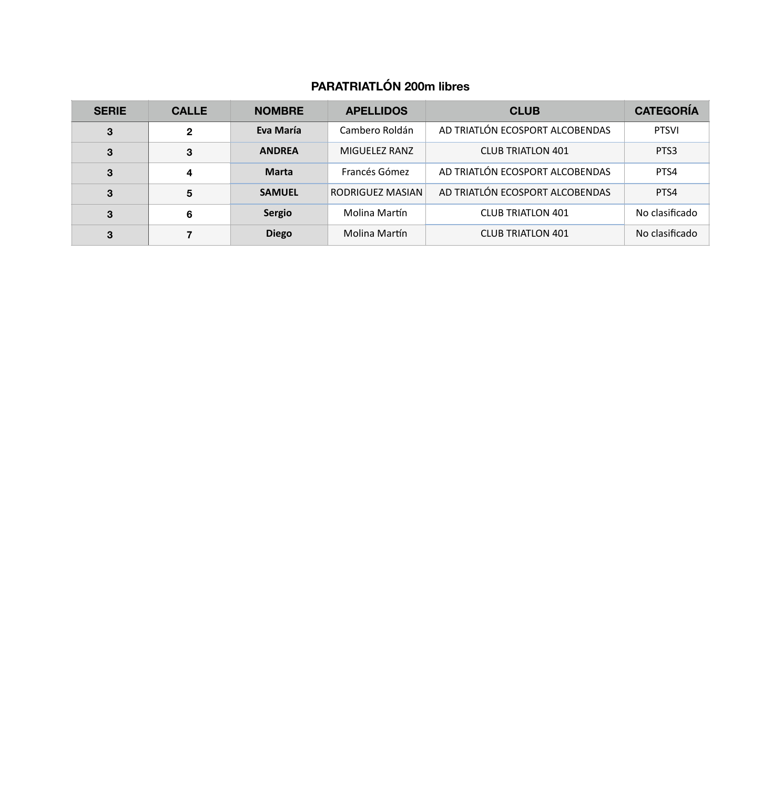# **PARATRIATLÓN 200m libres**

| <b>SERIE</b> | <b>CALLE</b> | <b>NOMBRE</b> | <b>APELLIDOS</b> | <b>CLUB</b>                     | <b>CATEGORÍA</b> |
|--------------|--------------|---------------|------------------|---------------------------------|------------------|
| 3            | $\mathbf{2}$ | Eva María     | Cambero Roldán   | AD TRIATLÓN ECOSPORT ALCOBENDAS | <b>PTSVI</b>     |
| 3            | 3            | <b>ANDREA</b> | MIGUELEZ RANZ    | <b>CLUB TRIATLON 401</b>        | PTS3             |
| 3            | 4            | <b>Marta</b>  | Francés Gómez    | AD TRIATLÓN ECOSPORT ALCOBENDAS | PTS4             |
| 3            | 5            | <b>SAMUEL</b> | RODRIGUEZ MASIAN | AD TRIATLÓN ECOSPORT ALCOBENDAS | PTS4             |
| 3            | 6            | Sergio        | Molina Martín    | <b>CLUB TRIATLON 401</b>        | No clasificado   |
| 3            |              | <b>Diego</b>  | Molina Martín    | <b>CLUB TRIATLON 401</b>        | No clasificado   |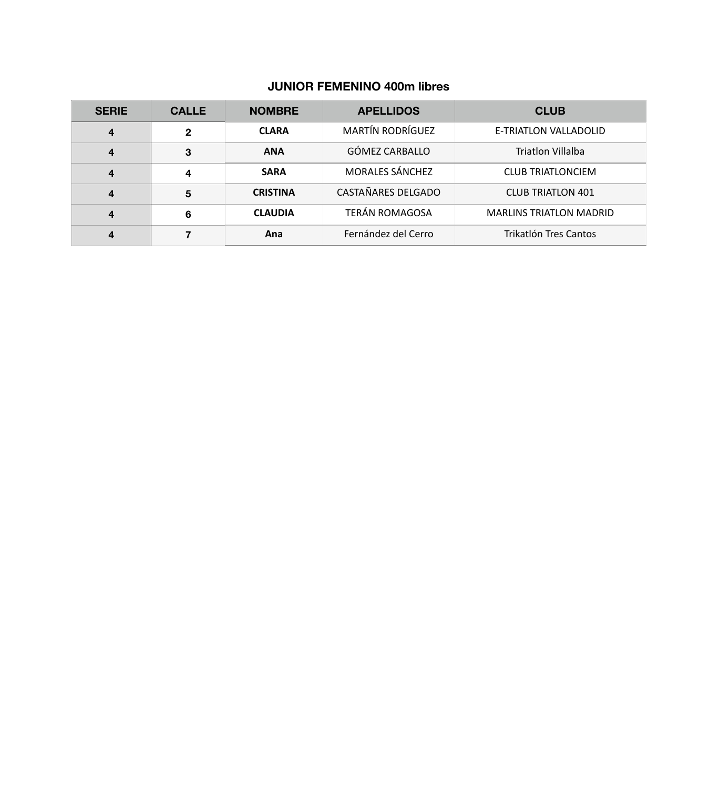#### **JUNIOR FEMENINO 400m libres**

| <b>SERIE</b>     | <b>CALLE</b> | <b>NOMBRE</b>   | <b>APELLIDOS</b>        | <b>CLUB</b>                    |
|------------------|--------------|-----------------|-------------------------|--------------------------------|
| $\boldsymbol{4}$ | $\mathbf{2}$ | <b>CLARA</b>    | <b>MARTÍN RODRÍGUEZ</b> | E-TRIATLON VALLADOLID          |
| $\boldsymbol{4}$ | 3            | <b>ANA</b>      | GÓMEZ CARBALLO          | <b>Triatlon Villalba</b>       |
| $\boldsymbol{4}$ | 4            | <b>SARA</b>     | <b>MORALES SÁNCHEZ</b>  | <b>CLUB TRIATLONCIEM</b>       |
| $\boldsymbol{4}$ | 5            | <b>CRISTINA</b> | CASTAÑARES DELGADO      | <b>CLUB TRIATLON 401</b>       |
| $\boldsymbol{4}$ | 6            | <b>CLAUDIA</b>  | TERÁN ROMAGOSA          | <b>MARLINS TRIATLON MADRID</b> |
| 4                |              | Ana             | Fernández del Cerro     | Trikatlón Tres Cantos          |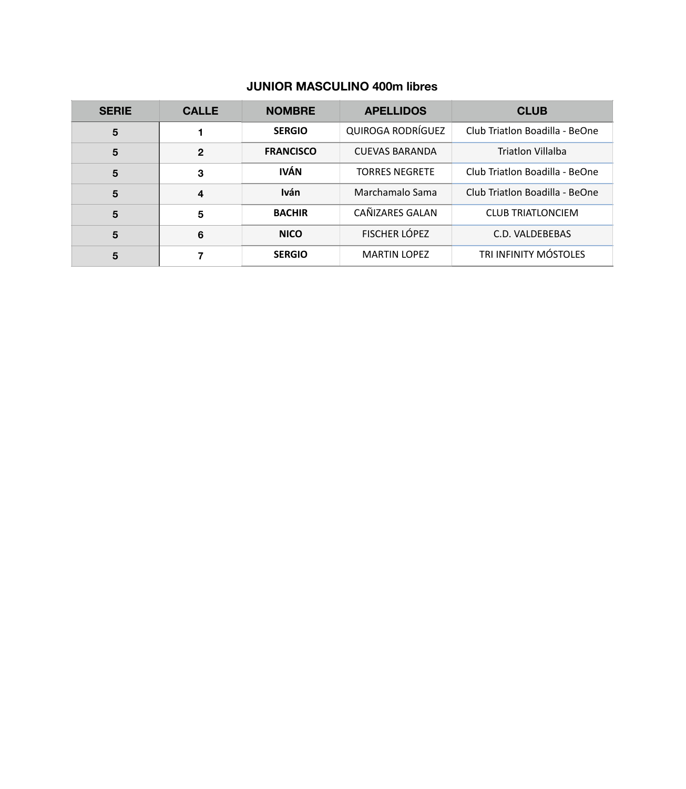## **JUNIOR MASCULINO 400m libres**

| <b>SERIE</b>    | <b>CALLE</b> | <b>NOMBRE</b>    | <b>APELLIDOS</b>      | <b>CLUB</b>                    |
|-----------------|--------------|------------------|-----------------------|--------------------------------|
| 5               |              | <b>SERGIO</b>    | QUIROGA RODRÍGUEZ     | Club Triatlon Boadilla - BeOne |
| 5               | $\mathbf{2}$ | <b>FRANCISCO</b> | <b>CUEVAS BARANDA</b> | <b>Triatlon Villalba</b>       |
| 5               | 3            | <b>IVÁN</b>      | <b>TORRES NEGRETE</b> | Club Triatlon Boadilla - BeOne |
| 5               | 4            | <b>Iván</b>      | Marchamalo Sama       | Club Triatlon Boadilla - BeOne |
| $5\phantom{.0}$ | 5            | <b>BACHIR</b>    | CAÑIZARES GALAN       | <b>CLUB TRIATLONCIEM</b>       |
| 5               | 6            | <b>NICO</b>      | FISCHER LÓPEZ         | C.D. VALDEBEBAS                |
| 5               |              | <b>SERGIO</b>    | <b>MARTIN LOPEZ</b>   | <b>TRI INFINITY MÓSTOLES</b>   |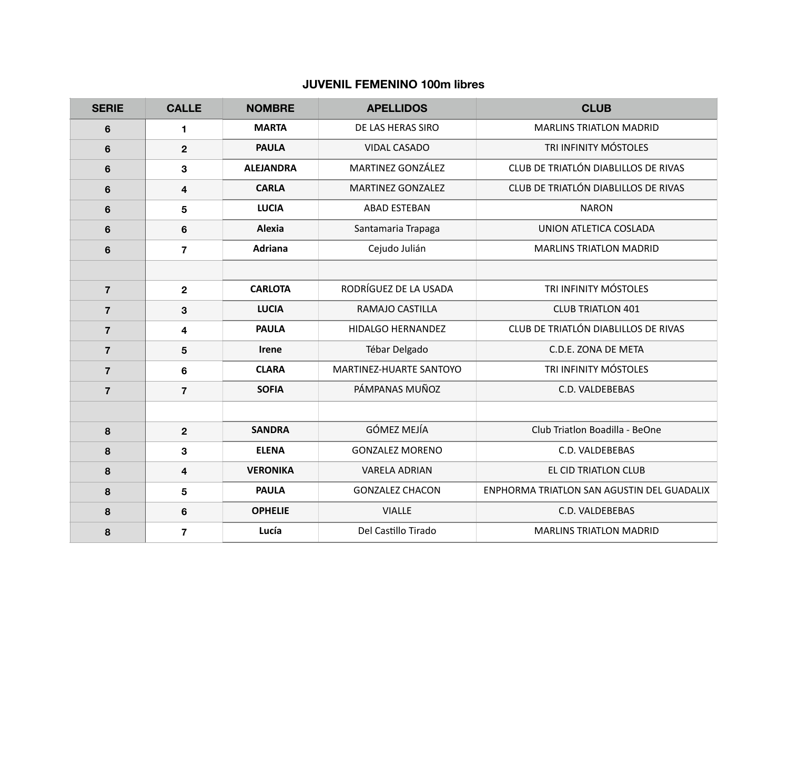#### **JUVENIL FEMENINO 100m libres**

| <b>SERIE</b>   | <b>CALLE</b>            | <b>NOMBRE</b>    | <b>APELLIDOS</b>         | <b>CLUB</b>                                |
|----------------|-------------------------|------------------|--------------------------|--------------------------------------------|
| 6              | 1                       | <b>MARTA</b>     | DE LAS HERAS SIRO        | <b>MARLINS TRIATLON MADRID</b>             |
| 6              | $\overline{2}$          | <b>PAULA</b>     | <b>VIDAL CASADO</b>      | TRI INFINITY MÓSTOLES                      |
| $6\phantom{1}$ | 3                       | <b>ALEJANDRA</b> | MARTINEZ GONZÁLEZ        | CLUB DE TRIATLÓN DIABLILLOS DE RIVAS       |
| $6\phantom{1}$ | 4                       | <b>CARLA</b>     | <b>MARTINEZ GONZALEZ</b> | CLUB DE TRIATLÓN DIABLILLOS DE RIVAS       |
| 6              | 5                       | <b>LUCIA</b>     | <b>ABAD ESTEBAN</b>      | <b>NARON</b>                               |
| 6              | 6                       | Alexia           | Santamaria Trapaga       | UNION ATLETICA COSLADA                     |
| 6              | $\overline{7}$          | <b>Adriana</b>   | Cejudo Julián            | <b>MARLINS TRIATLON MADRID</b>             |
|                |                         |                  |                          |                                            |
| $\overline{7}$ | $\mathbf 2$             | <b>CARLOTA</b>   | RODRÍGUEZ DE LA USADA    | TRI INFINITY MÓSTOLES                      |
| $\overline{7}$ | 3                       | <b>LUCIA</b>     | RAMAJO CASTILLA          | <b>CLUB TRIATLON 401</b>                   |
| $\overline{7}$ | 4                       | <b>PAULA</b>     | HIDALGO HERNANDEZ        | CLUB DE TRIATLÓN DIABLILLOS DE RIVAS       |
| $\overline{7}$ | 5                       | <b>Irene</b>     | Tébar Delgado            | C.D.E. ZONA DE META                        |
| $\overline{7}$ | 6                       | <b>CLARA</b>     | MARTINEZ-HUARTE SANTOYO  | TRI INFINITY MÓSTOLES                      |
| $\overline{7}$ | $\overline{7}$          | <b>SOFIA</b>     | PÁMPANAS MUÑOZ           | C.D. VALDEBEBAS                            |
|                |                         |                  |                          |                                            |
| 8              | $\mathbf 2$             | <b>SANDRA</b>    | <b>GÓMEZ MEJÍA</b>       | Club Triatlon Boadilla - BeOne             |
| 8              | 3                       | <b>ELENA</b>     | <b>GONZALEZ MORENO</b>   | C.D. VALDEBEBAS                            |
| 8              | 4                       | <b>VERONIKA</b>  | <b>VARELA ADRIAN</b>     | EL CID TRIATLON CLUB                       |
| 8              | 5                       | <b>PAULA</b>     | <b>GONZALEZ CHACON</b>   | ENPHORMA TRIATLON SAN AGUSTIN DEL GUADALIX |
| 8              | 6                       | <b>OPHELIE</b>   | <b>VIALLE</b>            | C.D. VALDEBEBAS                            |
| 8              | $\overline{\mathbf{r}}$ | Lucía            | Del Castillo Tirado      | <b>MARLINS TRIATLON MADRID</b>             |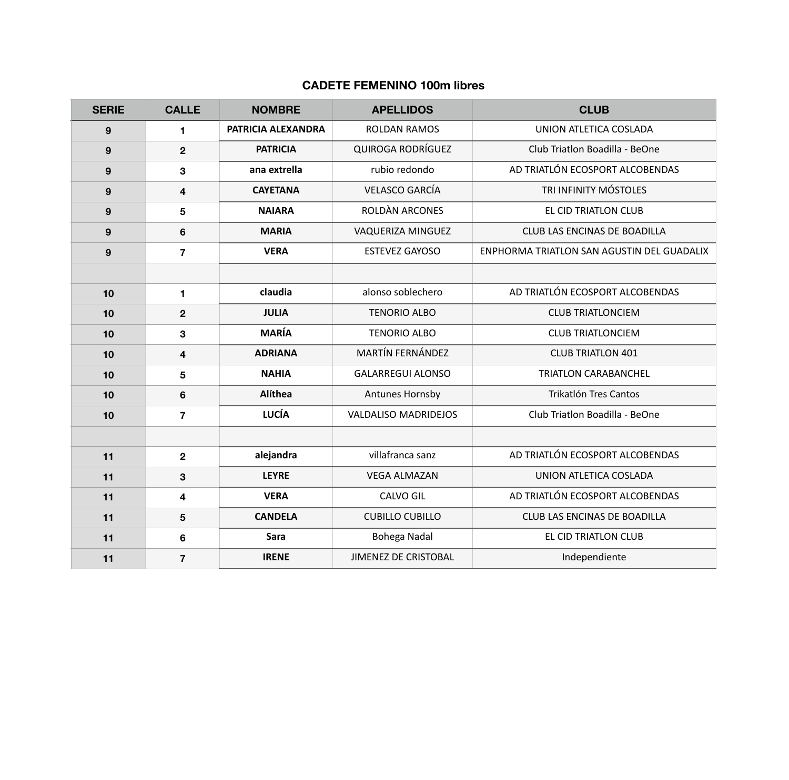## **CADETE FEMENINO 100m libres**

| <b>SERIE</b>     | <b>CALLE</b>            | <b>NOMBRE</b>      | <b>APELLIDOS</b>            | <b>CLUB</b>                                |
|------------------|-------------------------|--------------------|-----------------------------|--------------------------------------------|
| 9                | 1                       | PATRICIA ALEXANDRA | <b>ROLDAN RAMOS</b>         | UNION ATLETICA COSLADA                     |
| 9                | $\overline{2}$          | <b>PATRICIA</b>    | <b>QUIROGA RODRÍGUEZ</b>    | Club Triatlon Boadilla - BeOne             |
| 9                | 3                       | ana extrella       | rubio redondo               | AD TRIATLÓN ECOSPORT ALCOBENDAS            |
| 9                | 4                       | <b>CAYETANA</b>    | <b>VELASCO GARCÍA</b>       | TRI INFINITY MÓSTOLES                      |
| 9                | 5                       | <b>NAIARA</b>      | ROLDÀN ARCONES              | EL CID TRIATLON CLUB                       |
| $\boldsymbol{9}$ | 6                       | <b>MARIA</b>       | VAQUERIZA MINGUEZ           | CLUB LAS ENCINAS DE BOADILLA               |
| 9                | $\overline{7}$          | <b>VERA</b>        | <b>ESTEVEZ GAYOSO</b>       | ENPHORMA TRIATLON SAN AGUSTIN DEL GUADALIX |
|                  |                         |                    |                             |                                            |
| 10               | $\blacksquare$          | claudia            | alonso soblechero           | AD TRIATLÓN ECOSPORT ALCOBENDAS            |
| 10               | $\overline{2}$          | <b>JULIA</b>       | <b>TENORIO ALBO</b>         | <b>CLUB TRIATLONCIEM</b>                   |
| 10               | 3                       | <b>MARÍA</b>       | <b>TENORIO ALBO</b>         | <b>CLUB TRIATLONCIEM</b>                   |
| 10               | 4                       | <b>ADRIANA</b>     | MARTÍN FERNÁNDEZ            | <b>CLUB TRIATLON 401</b>                   |
| 10               | 5                       | <b>NAHIA</b>       | <b>GALARREGUI ALONSO</b>    | <b>TRIATLON CARABANCHEL</b>                |
| 10               | 6                       | Alíthea            | Antunes Hornsby             | Trikatlón Tres Cantos                      |
| 10               | $\overline{7}$          | <b>LUCÍA</b>       | <b>VALDALISO MADRIDEJOS</b> | Club Triatlon Boadilla - BeOne             |
|                  |                         |                    |                             |                                            |
| 11               | $\overline{\mathbf{2}}$ | alejandra          | villafranca sanz            | AD TRIATLÓN ECOSPORT ALCOBENDAS            |
| 11               | 3                       | <b>LEYRE</b>       | <b>VEGA ALMAZAN</b>         | UNION ATLETICA COSLADA                     |
| 11               | 4                       | <b>VERA</b>        | <b>CALVO GIL</b>            | AD TRIATLÓN ECOSPORT ALCOBENDAS            |
| 11               | 5                       | <b>CANDELA</b>     | <b>CUBILLO CUBILLO</b>      | CLUB LAS ENCINAS DE BOADILLA               |
| 11               | 6                       | Sara               | Bohega Nadal                | EL CID TRIATLON CLUB                       |
| 11               | $\overline{7}$          | <b>IRENE</b>       | <b>JIMENEZ DE CRISTOBAL</b> | Independiente                              |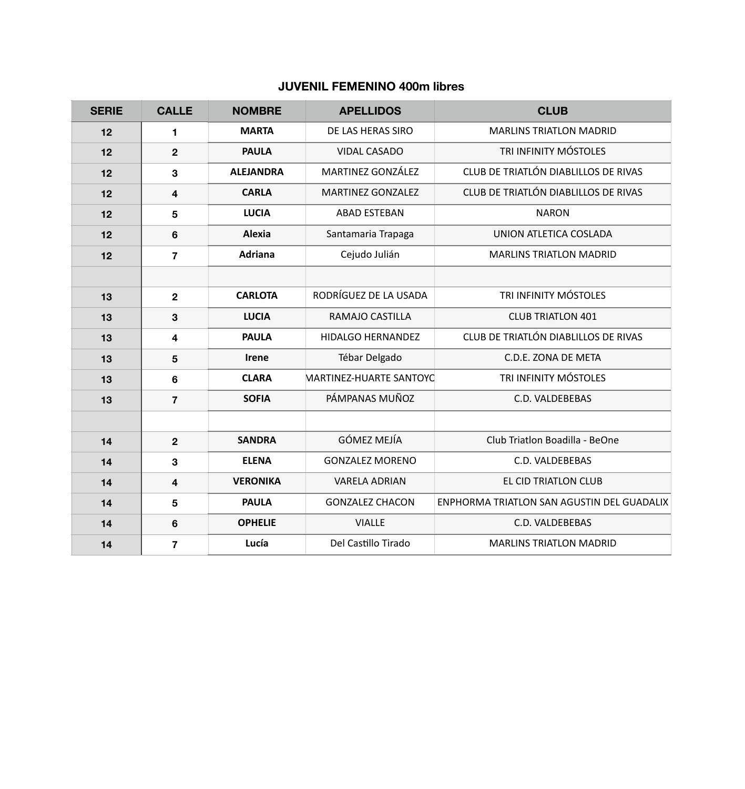## **JUVENIL FEMENINO 400m libres**

| <b>SERIE</b> | <b>CALLE</b>            | <b>NOMBRE</b>    | <b>APELLIDOS</b>         | <b>CLUB</b>                                |
|--------------|-------------------------|------------------|--------------------------|--------------------------------------------|
| 12           | 1                       | <b>MARTA</b>     | DE LAS HERAS SIRO        | <b>MARLINS TRIATLON MADRID</b>             |
| 12           | $\overline{2}$          | <b>PAULA</b>     | <b>VIDAL CASADO</b>      | TRI INFINITY MÓSTOLES                      |
| 12           | 3                       | <b>ALEJANDRA</b> | <b>MARTINEZ GONZÁLEZ</b> | CLUB DE TRIATLÓN DIABLILLOS DE RIVAS       |
| 12           | 4                       | <b>CARLA</b>     | <b>MARTINEZ GONZALEZ</b> | CLUB DE TRIATLÓN DIABLILLOS DE RIVAS       |
| 12           | $5\phantom{1}$          | <b>LUCIA</b>     | <b>ABAD ESTEBAN</b>      | <b>NARON</b>                               |
| 12           | 6                       | <b>Alexia</b>    | Santamaria Trapaga       | UNION ATLETICA COSLADA                     |
| 12           | $\overline{7}$          | <b>Adriana</b>   | Cejudo Julián            | <b>MARLINS TRIATLON MADRID</b>             |
|              |                         |                  |                          |                                            |
| 13           | $\overline{2}$          | <b>CARLOTA</b>   | RODRÍGUEZ DE LA USADA    | TRI INFINITY MÓSTOLES                      |
| 13           | $\mathbf{3}$            | <b>LUCIA</b>     | RAMAJO CASTILLA          | <b>CLUB TRIATLON 401</b>                   |
| 13           | $\overline{\mathbf{4}}$ | <b>PAULA</b>     | HIDALGO HERNANDEZ        | CLUB DE TRIATLÓN DIABLILLOS DE RIVAS       |
| 13           | $5\phantom{1}$          | <b>Irene</b>     | Tébar Delgado            | C.D.E. ZONA DE META                        |
| 13           | $6\phantom{1}$          | <b>CLARA</b>     | MARTINEZ-HUARTE SANTOYO  | TRI INFINITY MÓSTOLES                      |
| 13           | $\overline{7}$          | <b>SOFIA</b>     | PÁMPANAS MUÑOZ           | C.D. VALDEBEBAS                            |
|              |                         |                  |                          |                                            |
| 14           | $\overline{2}$          | <b>SANDRA</b>    | <b>GÓMEZ MEJÍA</b>       | Club Triatlon Boadilla - BeOne             |
| 14           | 3                       | <b>ELENA</b>     | <b>GONZALEZ MORENO</b>   | C.D. VALDEBEBAS                            |
| 14           | $\overline{\mathbf{4}}$ | <b>VERONIKA</b>  | <b>VARELA ADRIAN</b>     | EL CID TRIATLON CLUB                       |
| 14           | $\sqrt{5}$              | <b>PAULA</b>     | <b>GONZALEZ CHACON</b>   | ENPHORMA TRIATLON SAN AGUSTIN DEL GUADALIX |
| 14           | $6\phantom{1}$          | <b>OPHELIE</b>   | <b>VIALLE</b>            | C.D. VALDEBEBAS                            |
| 14           | $\overline{7}$          | Lucía            | Del Castillo Tirado      | <b>MARLINS TRIATLON MADRID</b>             |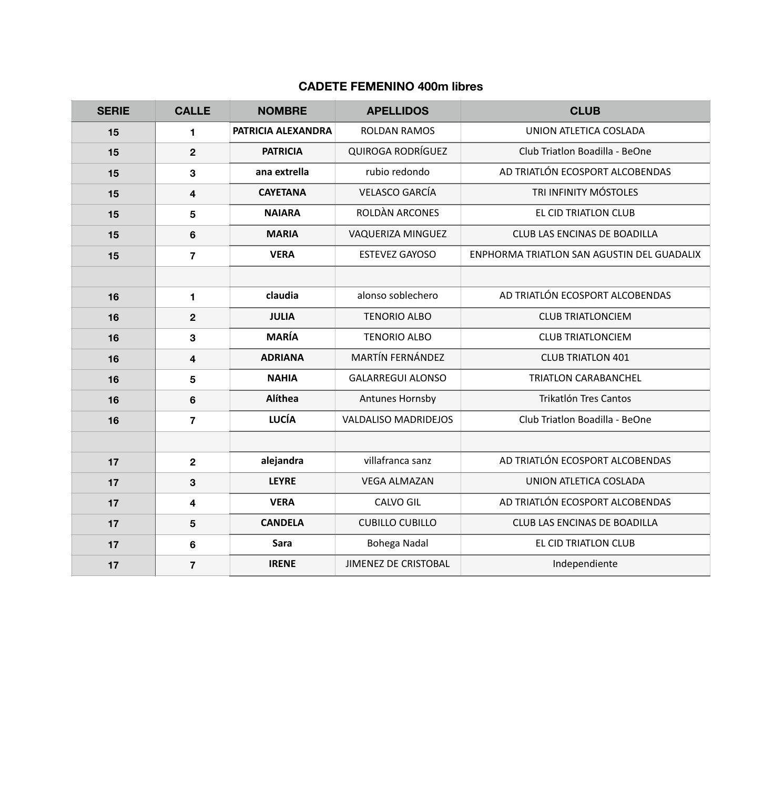## **CADETE FEMENINO 400m libres**

| <b>SERIE</b> | <b>CALLE</b>            | <b>NOMBRE</b>      | <b>APELLIDOS</b>            | <b>CLUB</b>                                |
|--------------|-------------------------|--------------------|-----------------------------|--------------------------------------------|
| 15           | 1                       | PATRICIA ALEXANDRA | <b>ROLDAN RAMOS</b>         | UNION ATLETICA COSLADA                     |
| 15           | $\mathbf 2$             | <b>PATRICIA</b>    | <b>QUIROGA RODRÍGUEZ</b>    | Club Triatlon Boadilla - BeOne             |
| 15           | 3                       | ana extrella       | rubio redondo               | AD TRIATLÓN ECOSPORT ALCOBENDAS            |
| 15           | 4                       | <b>CAYETANA</b>    | <b>VELASCO GARCÍA</b>       | TRI INFINITY MÓSTOLES                      |
| 15           | 5                       | <b>NAIARA</b>      | <b>ROLDÀN ARCONES</b>       | EL CID TRIATLON CLUB                       |
| 15           | 6                       | <b>MARIA</b>       | VAQUERIZA MINGUEZ           | CLUB LAS ENCINAS DE BOADILLA               |
| 15           | $\overline{7}$          | <b>VERA</b>        | <b>ESTEVEZ GAYOSO</b>       | ENPHORMA TRIATLON SAN AGUSTIN DEL GUADALIX |
|              |                         |                    |                             |                                            |
| 16           | 1                       | claudia            | alonso soblechero           | AD TRIATLÓN ECOSPORT ALCOBENDAS            |
| 16           | $\mathbf 2$             | <b>JULIA</b>       | <b>TENORIO ALBO</b>         | <b>CLUB TRIATLONCIEM</b>                   |
| 16           | 3                       | <b>MARÍA</b>       | <b>TENORIO ALBO</b>         | <b>CLUB TRIATLONCIEM</b>                   |
| 16           | 4                       | <b>ADRIANA</b>     | <b>MARTÍN FERNÁNDEZ</b>     | <b>CLUB TRIATLON 401</b>                   |
| 16           | 5                       | <b>NAHIA</b>       | <b>GALARREGUI ALONSO</b>    | <b>TRIATLON CARABANCHEL</b>                |
| 16           | 6                       | Alíthea            | Antunes Hornsby             | <b>Trikatlón Tres Cantos</b>               |
| 16           | $\overline{7}$          | <b>LUCÍA</b>       | <b>VALDALISO MADRIDEJOS</b> | Club Triatlon Boadilla - BeOne             |
|              |                         |                    |                             |                                            |
| 17           | $\overline{2}$          | alejandra          | villafranca sanz            | AD TRIATLÓN ECOSPORT ALCOBENDAS            |
| 17           | 3                       | <b>LEYRE</b>       | <b>VEGA ALMAZAN</b>         | UNION ATLETICA COSLADA                     |
| 17           | 4                       | <b>VERA</b>        | <b>CALVO GIL</b>            | AD TRIATLÓN ECOSPORT ALCOBENDAS            |
| 17           | 5                       | <b>CANDELA</b>     | <b>CUBILLO CUBILLO</b>      | CLUB LAS ENCINAS DE BOADILLA               |
| 17           | 6                       | Sara               | <b>Bohega Nadal</b>         | EL CID TRIATLON CLUB                       |
| 17           | $\overline{\mathbf{r}}$ | <b>IRENE</b>       | <b>JIMENEZ DE CRISTOBAL</b> | Independiente                              |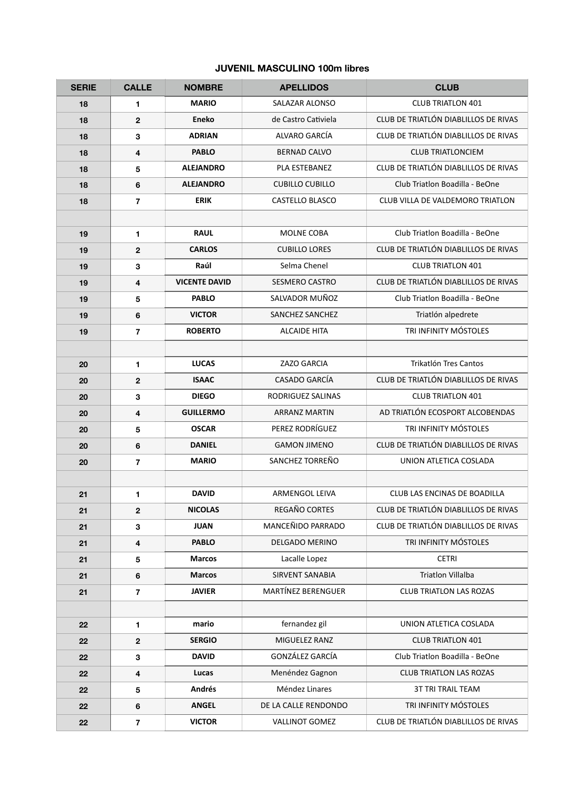## **JUVENIL MASCULINO 100m libres**

| <b>SERIE</b> | <b>CALLE</b>            | <b>NOMBRE</b>        | <b>APELLIDOS</b>          | <b>CLUB</b>                          |
|--------------|-------------------------|----------------------|---------------------------|--------------------------------------|
| 18           | 1                       | <b>MARIO</b>         | <b>SALAZAR ALONSO</b>     | <b>CLUB TRIATLON 401</b>             |
| 18           | $\mathbf{2}$            | <b>Eneko</b>         | de Castro Cativiela       | CLUB DE TRIATLÓN DIABLILLOS DE RIVAS |
| 18           | 3                       | <b>ADRIAN</b>        | ALVARO GARCÍA             | CLUB DE TRIATLÓN DIABLILLOS DE RIVAS |
| 18           | $\overline{\mathbf{4}}$ | <b>PABLO</b>         | <b>BERNAD CALVO</b>       | <b>CLUB TRIATLONCIEM</b>             |
| 18           | 5                       | <b>ALEJANDRO</b>     | PLA ESTEBANEZ             | CLUB DE TRIATLÓN DIABLILLOS DE RIVAS |
| 18           | 6                       | <b>ALEJANDRO</b>     | <b>CUBILLO CUBILLO</b>    | Club Triatlon Boadilla - BeOne       |
| 18           | $\overline{\mathbf{7}}$ | <b>ERIK</b>          | <b>CASTELLO BLASCO</b>    | CLUB VILLA DE VALDEMORO TRIATLON     |
|              |                         |                      |                           |                                      |
| 19           | 1                       | <b>RAUL</b>          | <b>MOLNE COBA</b>         | Club Triatlon Boadilla - BeOne       |
| 19           | $\mathbf 2$             | <b>CARLOS</b>        | <b>CUBILLO LORES</b>      | CLUB DE TRIATLÓN DIABLILLOS DE RIVAS |
| 19           | 3                       | Raúl                 | Selma Chenel              | <b>CLUB TRIATLON 401</b>             |
| 19           | $\overline{\mathbf{4}}$ | <b>VICENTE DAVID</b> | <b>SESMERO CASTRO</b>     | CLUB DE TRIATLÓN DIABLILLOS DE RIVAS |
| 19           | 5                       | <b>PABLO</b>         | SALVADOR MUÑOZ            | Club Triatlon Boadilla - BeOne       |
| 19           | 6                       | <b>VICTOR</b>        | SANCHEZ SANCHEZ           | Triatlón alpedrete                   |
| 19           | $\overline{7}$          | <b>ROBERTO</b>       | <b>ALCAIDE HITA</b>       | TRI INFINITY MÓSTOLES                |
|              |                         |                      |                           |                                      |
| 20           | 1                       | <b>LUCAS</b>         | ZAZO GARCIA               | Trikatlón Tres Cantos                |
| 20           | $\overline{2}$          | <b>ISAAC</b>         | CASADO GARCÍA             | CLUB DE TRIATLÓN DIABLILLOS DE RIVAS |
| 20           | 3                       | <b>DIEGO</b>         | RODRIGUEZ SALINAS         | <b>CLUB TRIATLON 401</b>             |
| 20           | 4                       | <b>GUILLERMO</b>     | <b>ARRANZ MARTIN</b>      | AD TRIATLÓN ECOSPORT ALCOBENDAS      |
| 20           | 5                       | <b>OSCAR</b>         | PEREZ RODRÍGUEZ           | TRI INFINITY MÓSTOLES                |
| 20           | 6                       | <b>DANIEL</b>        | <b>GAMON JIMENO</b>       | CLUB DE TRIATLÓN DIABLILLOS DE RIVAS |
| 20           | $\overline{7}$          | <b>MARIO</b>         | SANCHEZ TORREÑO           | UNION ATLETICA COSLADA               |
|              |                         |                      |                           |                                      |
| 21           | 1                       | <b>DAVID</b>         | ARMENGOL LEIVA            | CLUB LAS ENCINAS DE BOADILLA         |
| 21           | $\overline{2}$          | <b>NICOLAS</b>       | REGAÑO CORTES             | CLUB DE TRIATLÓN DIABLILLOS DE RIVAS |
| 21           | 3                       | <b>JUAN</b>          | MANCEÑIDO PARRADO         | CLUB DE TRIATLÓN DIABLILLOS DE RIVAS |
| 21           | $\overline{\mathbf{4}}$ | <b>PABLO</b>         | <b>DELGADO MERINO</b>     | TRI INFINITY MÓSTOLES                |
| 21           | 5                       | <b>Marcos</b>        | Lacalle Lopez             | <b>CETRI</b>                         |
| 21           | 6                       | <b>Marcos</b>        | <b>SIRVENT SANABIA</b>    | <b>Triatlon Villalba</b>             |
| 21           | $\overline{\mathbf{7}}$ | <b>JAVIER</b>        | <b>MARTÍNEZ BERENGUER</b> | <b>CLUB TRIATLON LAS ROZAS</b>       |
|              |                         |                      |                           |                                      |
| 22           | 1                       | mario                | fernandez gil             | UNION ATLETICA COSLADA               |
| 22           | $\overline{2}$          | <b>SERGIO</b>        | MIGUELEZ RANZ             | <b>CLUB TRIATLON 401</b>             |
| 22           | 3                       | <b>DAVID</b>         | GONZÁLEZ GARCÍA           | Club Triatlon Boadilla - BeOne       |
| 22           | $\overline{\mathbf{4}}$ | Lucas                | Menéndez Gagnon           | <b>CLUB TRIATLON LAS ROZAS</b>       |
| 22           | 5                       | <b>Andrés</b>        | Méndez Linares            | <b>3T TRI TRAIL TEAM</b>             |
| 22           | 6                       | <b>ANGEL</b>         | DE LA CALLE RENDONDO      | TRI INFINITY MÓSTOLES                |
| 22           | $\overline{7}$          | <b>VICTOR</b>        | <b>VALLINOT GOMEZ</b>     | CLUB DE TRIATLÓN DIABLILLOS DE RIVAS |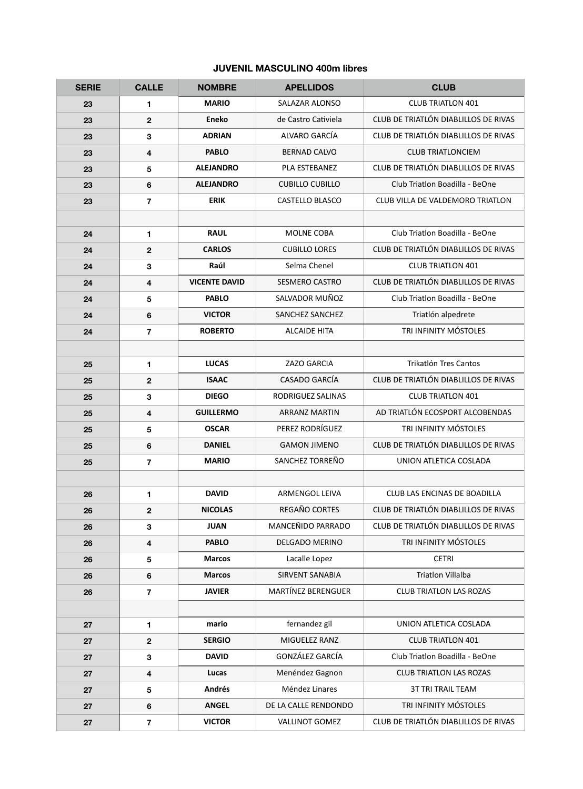# **JUVENIL MASCULINO 400m libres**

| <b>SERIE</b> | <b>CALLE</b>            | <b>NOMBRE</b>        | <b>APELLIDOS</b>          | <b>CLUB</b>                          |
|--------------|-------------------------|----------------------|---------------------------|--------------------------------------|
| 23           | 1                       | <b>MARIO</b>         | <b>SALAZAR ALONSO</b>     | <b>CLUB TRIATLON 401</b>             |
| 23           | $\mathbf 2$             | <b>Eneko</b>         | de Castro Cativiela       | CLUB DE TRIATLÓN DIABLILLOS DE RIVAS |
| 23           | $\mathbf 3$             | <b>ADRIAN</b>        | ALVARO GARCÍA             | CLUB DE TRIATLÓN DIABLILLOS DE RIVAS |
| 23           | 4                       | <b>PABLO</b>         | <b>BERNAD CALVO</b>       | <b>CLUB TRIATLONCIEM</b>             |
| 23           | 5                       | <b>ALEJANDRO</b>     | PLA ESTEBANEZ             | CLUB DE TRIATLÓN DIABLILLOS DE RIVAS |
| 23           | 6                       | <b>ALEJANDRO</b>     | <b>CUBILLO CUBILLO</b>    | Club Triatlon Boadilla - BeOne       |
| 23           | $\overline{\mathbf{r}}$ | <b>ERIK</b>          | <b>CASTELLO BLASCO</b>    | CLUB VILLA DE VALDEMORO TRIATLON     |
|              |                         |                      |                           |                                      |
| 24           | 1                       | <b>RAUL</b>          | <b>MOLNE COBA</b>         | Club Triatlon Boadilla - BeOne       |
| 24           | $\mathbf 2$             | <b>CARLOS</b>        | <b>CUBILLO LORES</b>      | CLUB DE TRIATLÓN DIABLILLOS DE RIVAS |
| 24           | 3                       | Raúl                 | Selma Chenel              | <b>CLUB TRIATLON 401</b>             |
| 24           | 4                       | <b>VICENTE DAVID</b> | SESMERO CASTRO            | CLUB DE TRIATLÓN DIABLILLOS DE RIVAS |
| 24           | 5                       | <b>PABLO</b>         | SALVADOR MUÑOZ            | Club Triatlon Boadilla - BeOne       |
| 24           | 6                       | <b>VICTOR</b>        | SANCHEZ SANCHEZ           | Triatlón alpedrete                   |
| 24           | $\overline{7}$          | <b>ROBERTO</b>       | <b>ALCAIDE HITA</b>       | TRI INFINITY MÓSTOLES                |
|              |                         |                      |                           |                                      |
| 25           | 1                       | <b>LUCAS</b>         | ZAZO GARCIA               | <b>Trikatlón Tres Cantos</b>         |
| 25           | $\mathbf 2$             | <b>ISAAC</b>         | CASADO GARCÍA             | CLUB DE TRIATLÓN DIABLILLOS DE RIVAS |
| 25           | 3                       | <b>DIEGO</b>         | RODRIGUEZ SALINAS         | <b>CLUB TRIATLON 401</b>             |
| 25           | 4                       | <b>GUILLERMO</b>     | <b>ARRANZ MARTIN</b>      | AD TRIATLÓN ECOSPORT ALCOBENDAS      |
| 25           | 5                       | <b>OSCAR</b>         | PEREZ RODRÍGUEZ           | TRI INFINITY MÓSTOLES                |
| 25           | 6                       | <b>DANIEL</b>        | <b>GAMON JIMENO</b>       | CLUB DE TRIATLÓN DIABLILLOS DE RIVAS |
| 25           | $\overline{7}$          | <b>MARIO</b>         | SANCHEZ TORREÑO           | UNION ATLETICA COSLADA               |
|              |                         |                      |                           |                                      |
| 26           | 1                       | <b>DAVID</b>         | ARMENGOL LEIVA            | CLUB LAS ENCINAS DE BOADILLA         |
| 26           | $\mathbf{2}$            | <b>NICOLAS</b>       | <b>REGAÑO CORTES</b>      | CLUB DE TRIATLÓN DIABLILLOS DE RIVAS |
| 26           | 3                       | <b>JUAN</b>          | MANCEÑIDO PARRADO         | CLUB DE TRIATLÓN DIABLILLOS DE RIVAS |
| 26           | 4                       | <b>PABLO</b>         | <b>DELGADO MERINO</b>     | TRI INFINITY MÓSTOLES                |
| 26           | 5                       | <b>Marcos</b>        | Lacalle Lopez             | <b>CETRI</b>                         |
| 26           | 6                       | <b>Marcos</b>        | <b>SIRVENT SANABIA</b>    | <b>Triatlon Villalba</b>             |
| 26           | 7                       | <b>JAVIER</b>        | <b>MARTÍNEZ BERENGUER</b> | <b>CLUB TRIATLON LAS ROZAS</b>       |
|              |                         |                      |                           |                                      |
| 27           | 1                       | mario                | fernandez gil             | UNION ATLETICA COSLADA               |
| 27           | $\mathbf 2$             | <b>SERGIO</b>        | MIGUELEZ RANZ             | <b>CLUB TRIATLON 401</b>             |
| 27           | 3                       | <b>DAVID</b>         | GONZÁLEZ GARCÍA           | Club Triatlon Boadilla - BeOne       |
| 27           | 4                       | Lucas                | Menéndez Gagnon           | <b>CLUB TRIATLON LAS ROZAS</b>       |
| 27           | 5                       | Andrés               | Méndez Linares            | <b>3T TRI TRAIL TEAM</b>             |
| 27           | $6\phantom{1}$          | <b>ANGEL</b>         | DE LA CALLE RENDONDO      | TRI INFINITY MÓSTOLES                |
| 27           | $\overline{7}$          | <b>VICTOR</b>        | <b>VALLINOT GOMEZ</b>     | CLUB DE TRIATLÓN DIABLILLOS DE RIVAS |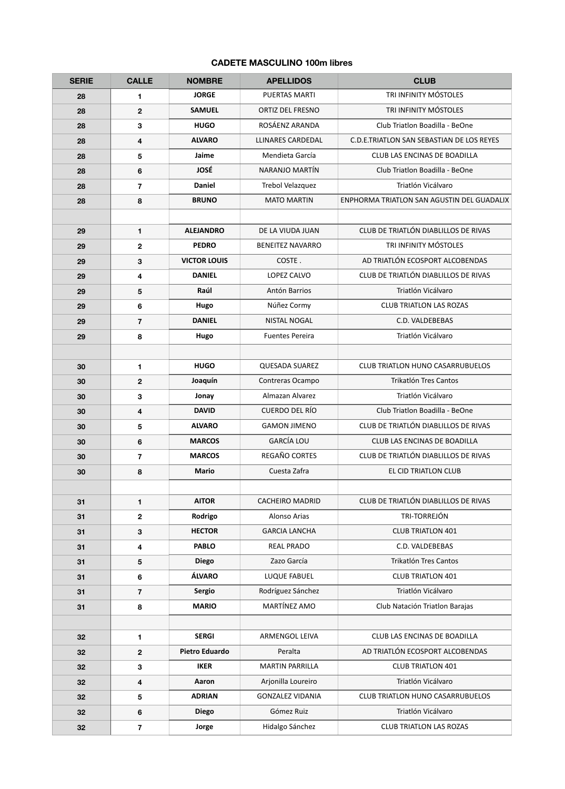#### **CADETE MASCULINO 100m libres**

| <b>SERIE</b> | <b>CALLE</b>            | <b>NOMBRE</b>         | <b>APELLIDOS</b>         | <b>CLUB</b>                                      |
|--------------|-------------------------|-----------------------|--------------------------|--------------------------------------------------|
| 28           | 1                       | <b>JORGE</b>          | <b>PUERTAS MARTI</b>     | TRI INFINITY MÓSTOLES                            |
| 28           | $\mathbf{2}$            | <b>SAMUEL</b>         | <b>ORTIZ DEL FRESNO</b>  | TRI INFINITY MÓSTOLES                            |
| 28           | $\mathbf{3}$            | <b>HUGO</b>           | ROSÁENZ ARANDA           | Club Triatlon Boadilla - BeOne                   |
| 28           | 4                       | <b>ALVARO</b>         | <b>LLINARES CARDEDAL</b> | <b>C.D.E.TRIATLON SAN SEBASTIAN DE LOS REYES</b> |
| 28           | $\overline{\mathbf{5}}$ | Jaime                 | Mendieta García          | CLUB LAS ENCINAS DE BOADILLA                     |
| 28           | 6                       | <b>JOSÉ</b>           | NARANJO MARTÍN           | Club Triatlon Boadilla - BeOne                   |
| 28           | $\overline{7}$          | <b>Daniel</b>         | Trebol Velazquez         | Triatlón Vicálvaro                               |
| 28           | 8                       | <b>BRUNO</b>          | <b>MATO MARTIN</b>       | ENPHORMA TRIATLON SAN AGUSTIN DEL GUADALIX       |
|              |                         |                       |                          |                                                  |
| 29           | $\mathbf{1}$            | <b>ALEJANDRO</b>      | DE LA VIUDA JUAN         | CLUB DE TRIATLÓN DIABLILLOS DE RIVAS             |
| 29           | $\mathbf 2$             | <b>PEDRO</b>          | <b>BENEITEZ NAVARRO</b>  | TRI INFINITY MÓSTOLES                            |
| 29           | 3                       | <b>VICTOR LOUIS</b>   | COSTE.                   | AD TRIATLÓN ECOSPORT ALCOBENDAS                  |
| 29           | $\overline{\mathbf{4}}$ | <b>DANIEL</b>         | LOPEZ CALVO              | CLUB DE TRIATLÓN DIABLILLOS DE RIVAS             |
| 29           | $5\phantom{.0}$         | Raúl                  | Antón Barrios            | Triatlón Vicálvaro                               |
| 29           | $\bf 6$                 | Hugo                  | Núñez Cormy              | <b>CLUB TRIATLON LAS ROZAS</b>                   |
| 29           | $\overline{7}$          | <b>DANIEL</b>         | <b>NISTAL NOGAL</b>      | C.D. VALDEBEBAS                                  |
| 29           | 8                       | Hugo                  | <b>Fuentes Pereira</b>   | Triatlón Vicálvaro                               |
|              |                         |                       |                          |                                                  |
| 30           | $\mathbf{1}$            | <b>HUGO</b>           | QUESADA SUAREZ           | <b>CLUB TRIATLON HUNO CASARRUBUELOS</b>          |
| 30           | $\mathbf 2$             | Joaquín               | Contreras Ocampo         | Trikatlón Tres Cantos                            |
| 30           | 3                       | Jonay                 | Almazan Alvarez          | Triatlón Vicálvaro                               |
| 30           | 4                       | <b>DAVID</b>          | <b>CUERDO DEL RÍO</b>    | Club Triatlon Boadilla - BeOne                   |
| 30           | $5\phantom{.0}$         | <b>ALVARO</b>         | <b>GAMON JIMENO</b>      | CLUB DE TRIATLÓN DIABLILLOS DE RIVAS             |
| 30           | 6                       | <b>MARCOS</b>         | <b>GARCÍA LOU</b>        | CLUB LAS ENCINAS DE BOADILLA                     |
| 30           | $\overline{7}$          | <b>MARCOS</b>         | REGAÑO CORTES            | CLUB DE TRIATLÓN DIABLILLOS DE RIVAS             |
| 30           | 8                       | <b>Mario</b>          | Cuesta Zafra             | EL CID TRIATLON CLUB                             |
|              |                         |                       |                          |                                                  |
| 31           | $\mathbf{1}$            | <b>AITOR</b>          | <b>CACHEIRO MADRID</b>   | CLUB DE TRIATLÓN DIABLILLOS DE RIVAS             |
| 31           | $\mathbf{2}$            | Rodrigo               | Alonso Arias             | TRI-TORREJÓN                                     |
| 31           | $\mathbf{3}$            | <b>HECTOR</b>         | <b>GARCIA LANCHA</b>     | <b>CLUB TRIATLON 401</b>                         |
| 31           | 4                       | <b>PABLO</b>          | <b>REAL PRADO</b>        | C.D. VALDEBEBAS                                  |
| 31           | $\overline{\mathbf{5}}$ | <b>Diego</b>          | Zazo García              | Trikatlón Tres Cantos                            |
| 31           | 6                       | <b>ÁLVARO</b>         | LUQUE FABUEL             | <b>CLUB TRIATLON 401</b>                         |
| 31           | $\overline{7}$          | <b>Sergio</b>         | Rodríguez Sánchez        | Triatlón Vicálvaro                               |
| 31           | 8                       | <b>MARIO</b>          | MARTÍNEZ AMO             | Club Natación Triatlon Barajas                   |
|              |                         |                       |                          |                                                  |
| 32           | $\mathbf{1}$            | <b>SERGI</b>          | ARMENGOL LEIVA           | CLUB LAS ENCINAS DE BOADILLA                     |
| 32           | $\mathbf{2}$            | <b>Pietro Eduardo</b> | Peralta                  | AD TRIATLÓN ECOSPORT ALCOBENDAS                  |
| 32           | $\mathbf{3}$            | <b>IKER</b>           | <b>MARTIN PARRILLA</b>   | <b>CLUB TRIATLON 401</b>                         |
| 32           | 4                       | Aaron                 | Arjonilla Loureiro       | Triatlón Vicálvaro                               |
| 32           | $\overline{\mathbf{5}}$ | <b>ADRIAN</b>         | <b>GONZALEZ VIDANIA</b>  | <b>CLUB TRIATLON HUNO CASARRUBUELOS</b>          |
| 32           | $6\phantom{1}6$         | <b>Diego</b>          | Gómez Ruiz               | Triatlón Vicálvaro                               |
| 32           | $\overline{7}$          | Jorge                 | Hidalgo Sánchez          | <b>CLUB TRIATLON LAS ROZAS</b>                   |